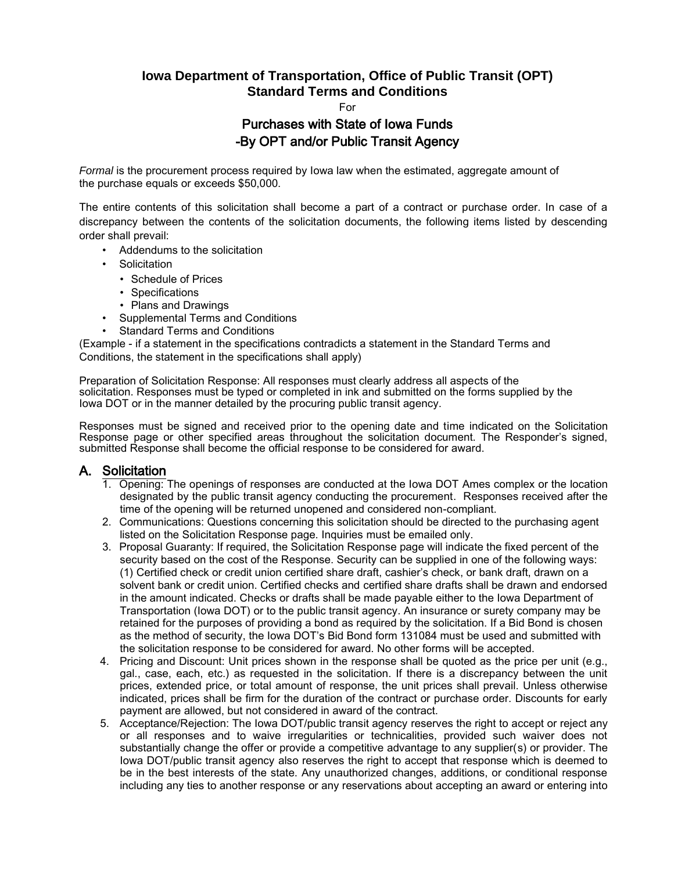# **Iowa Department of Transportation, Office of Public Transit (OPT) Standard Terms and Conditions**

For

## Purchases with State of Iowa Funds -By OPT and/or Public Transit Agency

*Formal* is the procurement process required by Iowa law when the estimated, aggregate amount of the purchase equals or exceeds \$50,000.

The entire contents of this solicitation shall become a part of a contract or purchase order. In case of a discrepancy between the contents of the solicitation documents, the following items listed by descending order shall prevail:

- Addendums to the solicitation
- Solicitation
	- Schedule of Prices
	- Specifications
	- Plans and Drawings
- Supplemental Terms and Conditions
- Standard Terms and Conditions

(Example - if a statement in the specifications contradicts a statement in the Standard Terms and Conditions, the statement in the specifications shall apply)

Preparation of Solicitation Response: All responses must clearly address all aspects of the solicitation. Responses must be typed or completed in ink and submitted on the forms supplied by the Iowa DOT or in the manner detailed by the procuring public transit agency.

Responses must be signed and received prior to the opening date and time indicated on the Solicitation Response page or other specified areas throughout the solicitation document. The Responder's signed, submitted Response shall become the official response to be considered for award.

### A. Solicitation

- 1. Opening: The openings of responses are conducted at the Iowa DOT Ames complex or the location designated by the public transit agency conducting the procurement. Responses received after the time of the opening will be returned unopened and considered non-compliant.
- 2. Communications: Questions concerning this solicitation should be directed to the purchasing agent listed on the Solicitation Response page. Inquiries must be emailed only.
- 3. Proposal Guaranty: If required, the Solicitation Response page will indicate the fixed percent of the security based on the cost of the Response. Security can be supplied in one of the following ways: (1) Certified check or credit union certified share draft, cashier's check, or bank draft, drawn on a solvent bank or credit union. Certified checks and certified share drafts shall be drawn and endorsed in the amount indicated. Checks or drafts shall be made payable either to the Iowa Department of Transportation (Iowa DOT) or to the public transit agency. An insurance or surety company may be retained for the purposes of providing a bond as required by the solicitation. If a Bid Bond is chosen as the method of security, the Iowa DOT's Bid Bond form 131084 must be used and submitted with the solicitation response to be considered for award. No other forms will be accepted.
- 4. Pricing and Discount: Unit prices shown in the response shall be quoted as the price per unit (e.g., gal., case, each, etc.) as requested in the solicitation. If there is a discrepancy between the unit prices, extended price, or total amount of response, the unit prices shall prevail. Unless otherwise indicated, prices shall be firm for the duration of the contract or purchase order. Discounts for early payment are allowed, but not considered in award of the contract.
- 5. Acceptance/Rejection: The Iowa DOT/public transit agency reserves the right to accept or reject any or all responses and to waive irregularities or technicalities, provided such waiver does not substantially change the offer or provide a competitive advantage to any supplier(s) or provider. The Iowa DOT/public transit agency also reserves the right to accept that response which is deemed to be in the best interests of the state. Any unauthorized changes, additions, or conditional response including any ties to another response or any reservations about accepting an award or entering into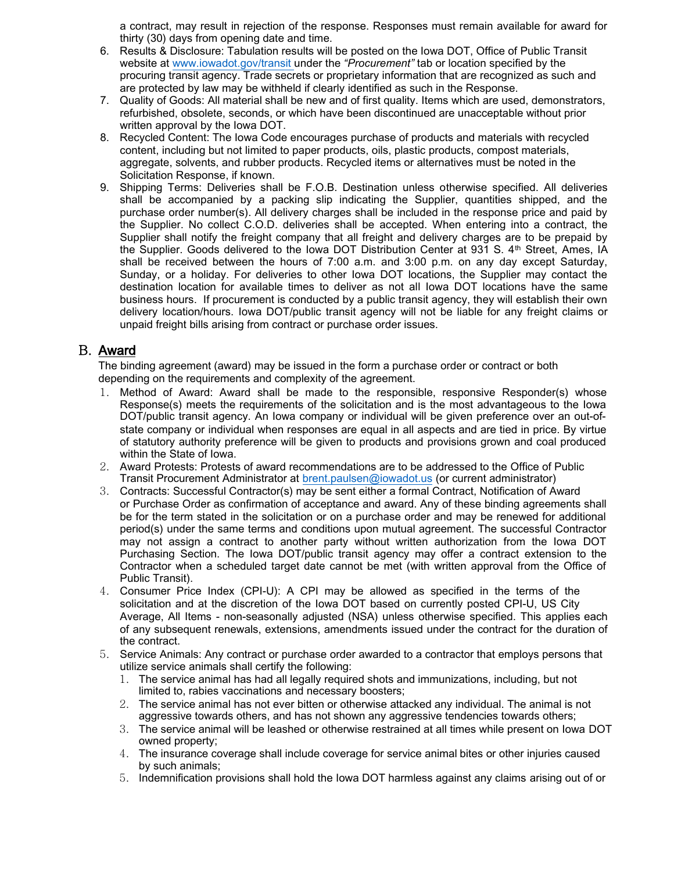a contract, may result in rejection of the response. Responses must remain available for award for thirty (30) days from opening date and time.

- 6. Results & Disclosure: Tabulation results will be posted on the Iowa DOT, Office of Public Transit website at [www.iowadot.gov/transit un](http://www.iowadot.gov/transit%20u)der the *"Procurement"* tab or location specified by the procuring transit agency. Trade secrets or proprietary information that are recognized as such and are protected by law may be withheld if clearly identified as such in the Response.
- 7. Quality of Goods: All material shall be new and of first quality. Items which are used, demonstrators, refurbished, obsolete, seconds, or which have been discontinued are unacceptable without prior written approval by the Iowa DOT.
- 8. Recycled Content: The Iowa Code encourages purchase of products and materials with recycled content, including but not limited to paper products, oils, plastic products, compost materials, aggregate, solvents, and rubber products. Recycled items or alternatives must be noted in the Solicitation Response, if known.
- 9. Shipping Terms: Deliveries shall be F.O.B. Destination unless otherwise specified. All deliveries shall be accompanied by a packing slip indicating the Supplier, quantities shipped, and the purchase order number(s). All delivery charges shall be included in the response price and paid by the Supplier. No collect C.O.D. deliveries shall be accepted. When entering into a contract, the Supplier shall notify the freight company that all freight and delivery charges are to be prepaid by the Supplier. Goods delivered to the Iowa DOT Distribution Center at 931 S. 4th Street, Ames, IA shall be received between the hours of 7:00 a.m. and 3:00 p.m. on any day except Saturday, Sunday, or a holiday. For deliveries to other Iowa DOT locations, the Supplier may contact the destination location for available times to deliver as not all Iowa DOT locations have the same business hours. If procurement is conducted by a public transit agency, they will establish their own delivery location/hours. Iowa DOT/public transit agency will not be liable for any freight claims or unpaid freight bills arising from contract or purchase order issues.

#### B. Award

The binding agreement (award) may be issued in the form a purchase order or contract or both depending on the requirements and complexity of the agreement.

- 1. Method of Award: Award shall be made to the responsible, responsive Responder(s) whose Response(s) meets the requirements of the solicitation and is the most advantageous to the Iowa DOT/public transit agency. An Iowa company or individual will be given preference over an out-ofstate company or individual when responses are equal in all aspects and are tied in price. By virtue of statutory authority preference will be given to products and provisions grown and coal produced within the State of Iowa.
- 2. Award Protests: Protests of award recommendations are to be addressed to the Office of Public Transit Procurement Administrator at [brent.paulsen](mailto:ryan.ward@iowadot.us)@iowadot.us (or current administrator)
- 3. Contracts: Successful Contractor(s) may be sent either a formal Contract, Notification of Award or Purchase Order as confirmation of acceptance and award. Any of these binding agreements shall be for the term stated in the solicitation or on a purchase order and may be renewed for additional period(s) under the same terms and conditions upon mutual agreement. The successful Contractor may not assign a contract to another party without written authorization from the Iowa DOT Purchasing Section. The Iowa DOT/public transit agency may offer a contract extension to the Contractor when a scheduled target date cannot be met (with written approval from the Office of Public Transit).
- 4. Consumer Price Index (CPI-U): A CPI may be allowed as specified in the terms of the solicitation and at the discretion of the Iowa DOT based on currently posted CPI-U, US City Average, All Items - non-seasonally adjusted (NSA) unless otherwise specified. This applies each of any subsequent renewals, extensions, amendments issued under the contract for the duration of the contract.
- 5. Service Animals: Any contract or purchase order awarded to a contractor that employs persons that utilize service animals shall certify the following:
	- 1. The service animal has had all legally required shots and immunizations, including, but not limited to, rabies vaccinations and necessary boosters;
	- 2. The service animal has not ever bitten or otherwise attacked any individual. The animal is not aggressive towards others, and has not shown any aggressive tendencies towards others;
	- 3. The service animal will be leashed or otherwise restrained at all times while present on Iowa DOT owned property;
	- 4. The insurance coverage shall include coverage for service animal bites or other injuries caused by such animals;
	- 5. Indemnification provisions shall hold the Iowa DOT harmless against any claims arising out of or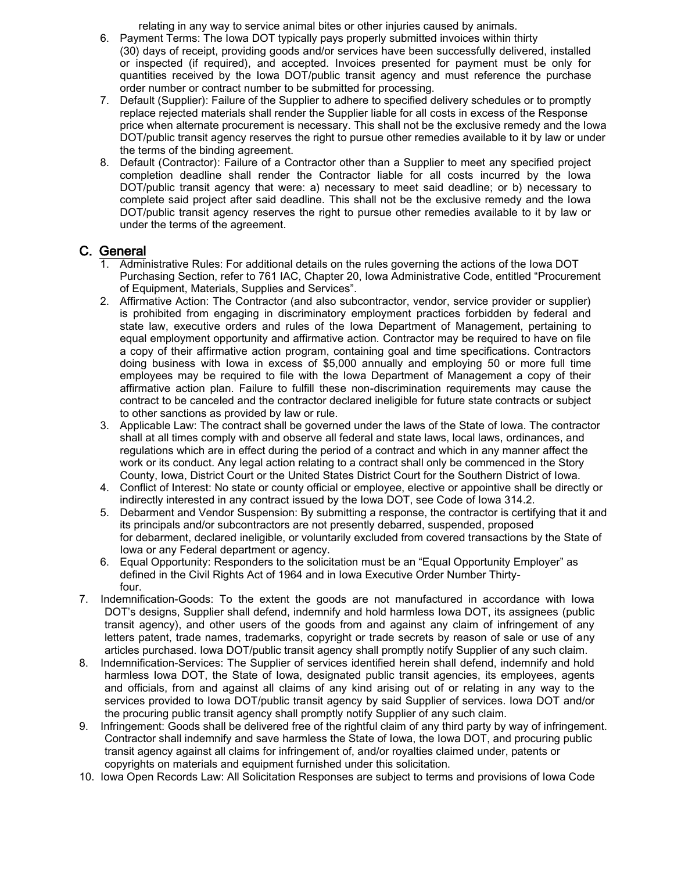relating in any way to service animal bites or other injuries caused by animals.

- 6. Payment Terms: The Iowa DOT typically pays properly submitted invoices within thirty (30) days of receipt, providing goods and/or services have been successfully delivered, installed or inspected (if required), and accepted. Invoices presented for payment must be only for quantities received by the Iowa DOT/public transit agency and must reference the purchase order number or contract number to be submitted for processing.
- 7. Default (Supplier): Failure of the Supplier to adhere to specified delivery schedules or to promptly replace rejected materials shall render the Supplier liable for all costs in excess of the Response price when alternate procurement is necessary. This shall not be the exclusive remedy and the Iowa DOT/public transit agency reserves the right to pursue other remedies available to it by law or under the terms of the binding agreement.
- 8. Default (Contractor): Failure of a Contractor other than a Supplier to meet any specified project completion deadline shall render the Contractor liable for all costs incurred by the Iowa DOT/public transit agency that were: a) necessary to meet said deadline; or b) necessary to complete said project after said deadline. This shall not be the exclusive remedy and the Iowa DOT/public transit agency reserves the right to pursue other remedies available to it by law or under the terms of the agreement.

#### C. General

- 1. Administrative Rules: For additional details on the rules governing the actions of the Iowa DOT Purchasing Section, refer to 761 IAC, Chapter 20, Iowa Administrative Code, entitled "Procurement of Equipment, Materials, Supplies and Services".
- 2. Affirmative Action: The Contractor (and also subcontractor, vendor, service provider or supplier) is prohibited from engaging in discriminatory employment practices forbidden by federal and state law, executive orders and rules of the Iowa Department of Management, pertaining to equal employment opportunity and affirmative action. Contractor may be required to have on file a copy of their affirmative action program, containing goal and time specifications. Contractors doing business with Iowa in excess of \$5,000 annually and employing 50 or more full time employees may be required to file with the Iowa Department of Management a copy of their affirmative action plan. Failure to fulfill these non-discrimination requirements may cause the contract to be canceled and the contractor declared ineligible for future state contracts or subject to other sanctions as provided by law or rule.
- 3. Applicable Law: The contract shall be governed under the laws of the State of Iowa. The contractor shall at all times comply with and observe all federal and state laws, local laws, ordinances, and regulations which are in effect during the period of a contract and which in any manner affect the work or its conduct. Any legal action relating to a contract shall only be commenced in the Story County, Iowa, District Court or the United States District Court for the Southern District of Iowa.
- 4. Conflict of Interest: No state or county official or employee, elective or appointive shall be directly or indirectly interested in any contract issued by the Iowa DOT, see Code of Iowa 314.2.
- 5. Debarment and Vendor Suspension: By submitting a response, the contractor is certifying that it and its principals and/or subcontractors are not presently debarred, suspended, proposed for debarment, declared ineligible, or voluntarily excluded from covered transactions by the State of Iowa or any Federal department or agency.
- 6. Equal Opportunity: Responders to the solicitation must be an "Equal Opportunity Employer" as defined in the Civil Rights Act of 1964 and in Iowa Executive Order Number Thirtyfour.
- 7. Indemnification-Goods: To the extent the goods are not manufactured in accordance with Iowa DOT's designs, Supplier shall defend, indemnify and hold harmless Iowa DOT, its assignees (public transit agency), and other users of the goods from and against any claim of infringement of any letters patent, trade names, trademarks, copyright or trade secrets by reason of sale or use of any articles purchased. Iowa DOT/public transit agency shall promptly notify Supplier of any such claim.
- 8. Indemnification-Services: The Supplier of services identified herein shall defend, indemnify and hold harmless Iowa DOT, the State of Iowa, designated public transit agencies, its employees, agents and officials, from and against all claims of any kind arising out of or relating in any way to the services provided to Iowa DOT/public transit agency by said Supplier of services. Iowa DOT and/or the procuring public transit agency shall promptly notify Supplier of any such claim.
- 9. Infringement: Goods shall be delivered free of the rightful claim of any third party by way of infringement. Contractor shall indemnify and save harmless the State of Iowa, the Iowa DOT, and procuring public transit agency against all claims for infringement of, and/or royalties claimed under, patents or copyrights on materials and equipment furnished under this solicitation.
- 10. Iowa Open Records Law: All Solicitation Responses are subject to terms and provisions of Iowa Code